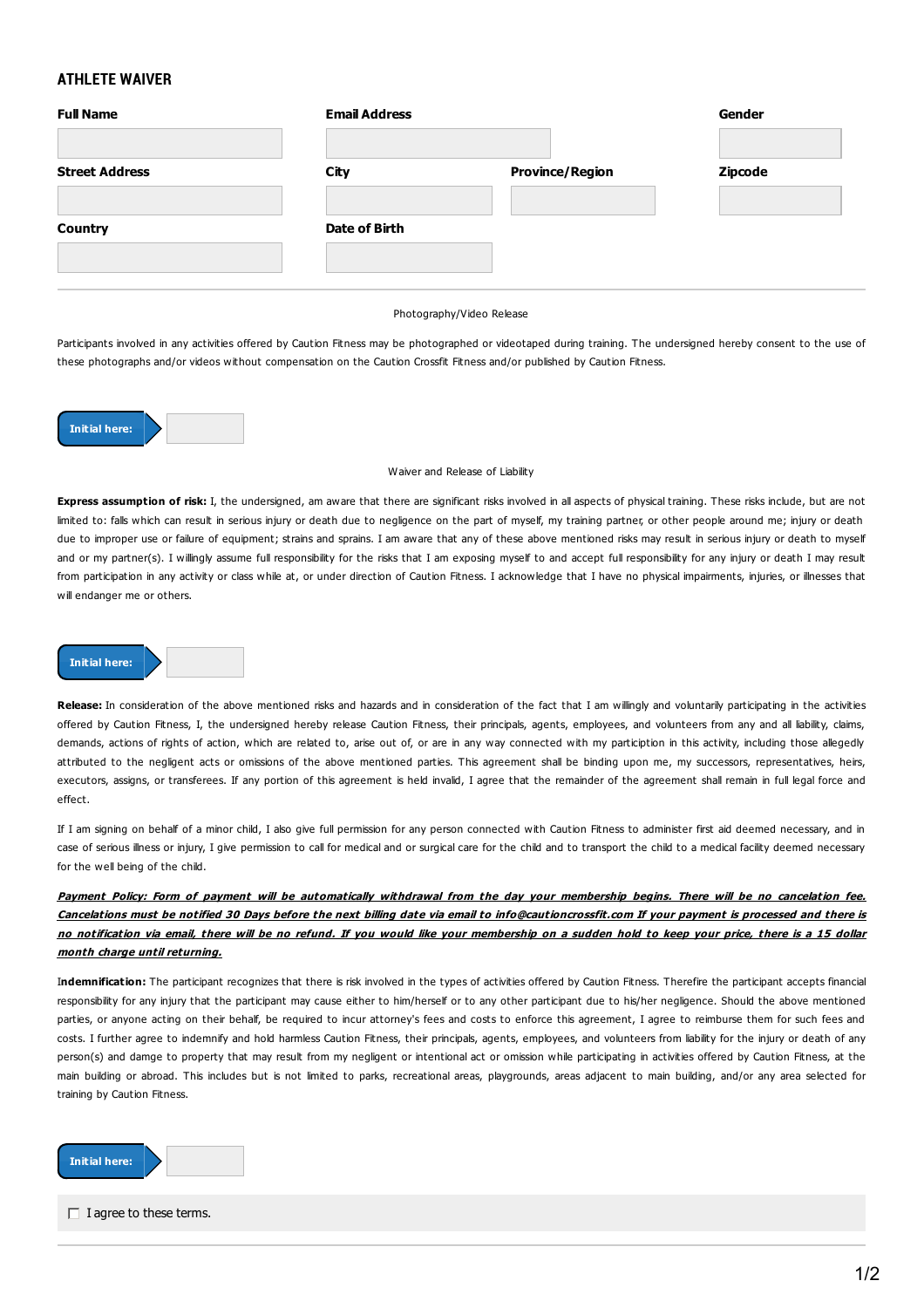## **ATHLETE WAIVER**

| <b>Full Name</b>      | <b>Email Address</b> |                        | Gender         |
|-----------------------|----------------------|------------------------|----------------|
| <b>Street Address</b> | City                 | <b>Province/Region</b> | <b>Zipcode</b> |
| <b>Country</b>        | Date of Birth        |                        |                |
|                       |                      |                        |                |

## Photography/Video Release

Participants involved in any activities offered by Caution Fitness may be photographed or videotaped during training. The undersigned hereby consent to the use of these photographs and/or videos without compensation on the Caution Crossfit Fitness and/or published by Caution Fitness.



## Waiver and Release of Liability

**Express assumption of risk:** I, the undersigned, am aware that there are significant risks involved in all aspects of physical training. These risks include, but are not limited to: falls which can result in serious injury or death due to negligence on the part of myself, my training partner, or other people around me; injury or death due to improper use or failure of equipment; strains and sprains. I am aware that any of these above mentioned risks may result in serious injury or death to myself and or my partner(s). I willingly assume full responsibility for the risks that I am exposing myself to and accept full responsibility for any injury or death I may result from participation in any activity or class while at, or under direction of Caution Fitness. I acknowledge that I have no physical impairments, injuries, or illnesses that will endanger me or others.

## **Initial here:**

Release: In consideration of the above mentioned risks and hazards and in consideration of the fact that I am willingly and voluntarily participating in the activities offered by Caution Fitness, I, the undersigned hereby release Caution Fitness, their principals, agents, employees, and volunteers from any and all liability, claims, demands, actions of rights of action, which are related to, arise out of, or are in any way connected with my particiption in this activity, including those allegedly attributed to the negligent acts or omissions of the above mentioned parties. This agreement shall be binding upon me, my successors, representatives, heirs, executors, assigns, or transferees. If any portion of this agreement is held invalid, I agree that the remainder of the agreement shall remain in full legal force and effect.

If I am signing on behalf of a minor child, I also give full permission for any person connected with Caution Fitness to administer first aid deemed necessary, and in case of serious illness or injury. I give permission to call for medical and or surgical care for the child and to transport the child to a medical facility deemed necessary for the well being of the child.

Payment Policy: Form of payment will be automatically withdrawal from the day your membership begins. There will be no cancelation fee. Cancelations must be notified 30 Days before the next billing date via email to info@cautioncrossfit.com If your payment is processed and there is no notification via email, there will be no refund. If you would like your membership on a sudden hold to keep your price, there is a 15 dollar **month charge until returning.**

I**ndemnification:** The participant recognizes that there is risk involved in the types of activities offered by Caution Fitness. Therefire the participant accepts financial responsibility for any injury that the participant may cause either to him/herself or to any other participant due to his/her negligence. Should the above mentioned parties, or anyone acting on their behalf, be required to incur attorney's fees and costs to enforce this agreement, I agree to reimburse them for such fees and costs. I further agree to indemnify and hold harmless Caution Fitness, their principals, agents, employees, and volunteers from liability for the injury or death of any person(s) and damge to property that may result from my negligent or intentional act or omission while participating in activities offered by Caution Fitness, at the main building or abroad. This includes but is not limited to parks, recreational areas, playgrounds, areas adjacent to main building, and/or any area selected for training by Caution Fitness.



 $\Box$  I agree to these terms.